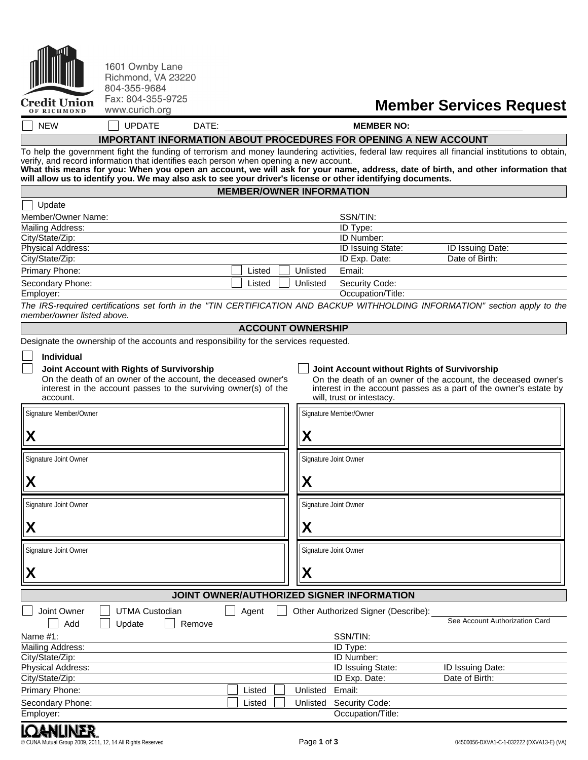| <b>And</b>          |
|---------------------|
| <b>Credit Union</b> |

OF RICHMOND

| 1601 Ownby Lane    |
|--------------------|
| Richmond, VA 23220 |
| 804-355-9684       |
| Fax: 804-355-9725  |
| www.curich.ora     |

# **Member Services Request**

NEW UPDATE DATE: **MEMBER NO:**

## **IMPORTANT INFORMATION ABOUT PROCEDURES FOR OPENING A NEW ACCOUNT**

To help the government fight the funding of terrorism and money laundering activities, federal law requires all financial institutions to obtain, verify, and record information that identifies each person when opening a new account.

What this means for you: When you open an account, we will ask for your name, address, date of birth, and other information that **will allow us to identify you. We may also ask to see your driver's license or other identifying documents.**

#### **MEMBER/OWNER INFORMATION**

| Update             |                    |                          |                         |
|--------------------|--------------------|--------------------------|-------------------------|
| Member/Owner Name: |                    | SSN/TIN:                 |                         |
| Mailing Address:   |                    | ID Type:                 |                         |
| City/State/Zip:    |                    | <b>ID Number:</b>        |                         |
| Physical Address:  |                    | <b>ID Issuing State:</b> | <b>ID Issuing Date:</b> |
| City/State/Zip:    |                    | ID Exp. Date:            | Date of Birth:          |
| Primary Phone:     | Listed<br>Unlisted | Email:                   |                         |
| Secondary Phone:   | Listed<br>Unlisted | Security Code:           |                         |
| Employer:          |                    | Occupation/Title:        |                         |

The IRS-required certifications set forth in the "TIN CERTIFICATION AND BACKUP WITHHOLDING INFORMATION" section apply to the *member/owner listed above.*

### **ACCOUNT OWNERSHIP**

Гr

Designate the ownership of the accounts and responsibility for the services requested.

#### **Individual**

Ŀ

On the death of an owner of the account, the deceased owner's interest in the account passes to the surviving owner(s) of the account. ᆩ

#### **Joint Account with Rights of Survivorship Joint Account without Rights of Survivorship**

On the death of an owner of the account, the deceased owner's interest in the account passes as a part of the owner's estate by will, trust or intestacy.

| Signature Member/Owner |                                           |        |                        | Signature Member/Owner                    |                                |
|------------------------|-------------------------------------------|--------|------------------------|-------------------------------------------|--------------------------------|
| X                      |                                           |        | $\boldsymbol{\lambda}$ |                                           |                                |
| Signature Joint Owner  |                                           |        |                        | Signature Joint Owner                     |                                |
| X                      |                                           |        | χ                      |                                           |                                |
| Signature Joint Owner  |                                           |        |                        | Signature Joint Owner                     |                                |
| χ                      |                                           |        | Λ                      |                                           |                                |
| Signature Joint Owner  |                                           |        |                        | Signature Joint Owner                     |                                |
| X                      |                                           |        | Χ                      |                                           |                                |
|                        |                                           |        |                        | JOINT OWNER/AUTHORIZED SIGNER INFORMATION |                                |
| Joint Owner<br>Add     | <b>UTMA Custodian</b><br>Update<br>Remove | Agent  |                        | Other Authorized Signer (Describe):       | See Account Authorization Card |
| Name $#1$ :            |                                           |        |                        | SSN/TIN:                                  |                                |
| Mailing Address:       |                                           |        |                        | <b>ID Type:</b>                           |                                |
| City/State/Zip:        |                                           |        |                        | ID Number:                                |                                |
| Physical Address:      |                                           |        |                        | ID Issuing State:                         | ID Issuing Date:               |
| City/State/Zip:        |                                           |        |                        | ID Exp. Date:                             | Date of Birth:                 |
| Primary Phone:         |                                           | Listed | Unlisted               | Email:                                    |                                |
| Secondary Phone:       |                                           | Listed | Unlisted               | Security Code:                            |                                |
| Employer:              |                                           |        |                        | Occupation/Title:                         |                                |
| ________               |                                           |        |                        |                                           |                                |

© CUNA Mutual Group 2009, 2011, 12, 14 All Rights Reserved Page **1** of **3** 04500056-DXVA1-C-1-032222 (DXVA13-E) (VA)

**JGNUNLK.**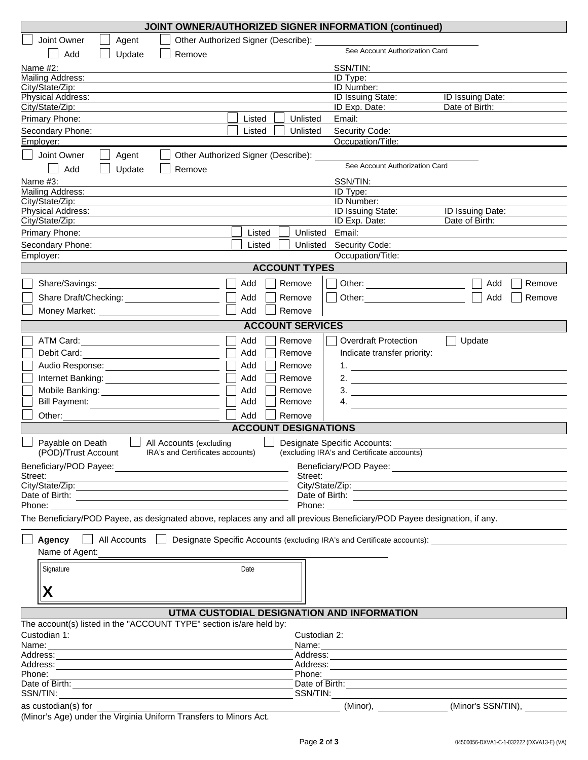| JOINT OWNER/AUTHORIZED SIGNER INFORMATION (continued)                                                                                                                 |                                                                                                                                                                                                                                |                                                                                                                                                                                                                               |  |  |  |
|-----------------------------------------------------------------------------------------------------------------------------------------------------------------------|--------------------------------------------------------------------------------------------------------------------------------------------------------------------------------------------------------------------------------|-------------------------------------------------------------------------------------------------------------------------------------------------------------------------------------------------------------------------------|--|--|--|
| Joint Owner<br>Agent                                                                                                                                                  | Other Authorized Signer (Describe):                                                                                                                                                                                            |                                                                                                                                                                                                                               |  |  |  |
| Add<br>Update<br>Remove                                                                                                                                               | See Account Authorization Card                                                                                                                                                                                                 |                                                                                                                                                                                                                               |  |  |  |
| Name $#2$ :                                                                                                                                                           | SSN/TIN:                                                                                                                                                                                                                       |                                                                                                                                                                                                                               |  |  |  |
| Mailing Address:                                                                                                                                                      | ID Type:                                                                                                                                                                                                                       |                                                                                                                                                                                                                               |  |  |  |
| City/State/Zip:                                                                                                                                                       | ID Number:<br><b>ID Issuing State:</b>                                                                                                                                                                                         | <b>ID Issuing Date:</b>                                                                                                                                                                                                       |  |  |  |
| Physical Address:<br>City/State/Zip:                                                                                                                                  | ID Exp. Date:                                                                                                                                                                                                                  | Date of Birth:                                                                                                                                                                                                                |  |  |  |
| Primary Phone:                                                                                                                                                        | Listed<br>Unlisted<br>Email:                                                                                                                                                                                                   |                                                                                                                                                                                                                               |  |  |  |
| Secondary Phone:                                                                                                                                                      | Security Code:<br>Listed<br>Unlisted                                                                                                                                                                                           |                                                                                                                                                                                                                               |  |  |  |
| Employer:                                                                                                                                                             | Occupation/Title:                                                                                                                                                                                                              |                                                                                                                                                                                                                               |  |  |  |
| Joint Owner<br>Agent                                                                                                                                                  | Other Authorized Signer (Describe):                                                                                                                                                                                            |                                                                                                                                                                                                                               |  |  |  |
| Add<br>Update<br>Remove                                                                                                                                               | See Account Authorization Card                                                                                                                                                                                                 |                                                                                                                                                                                                                               |  |  |  |
| Name #3:                                                                                                                                                              | SSN/TIN:                                                                                                                                                                                                                       |                                                                                                                                                                                                                               |  |  |  |
| Mailing Address:                                                                                                                                                      | ID Type:                                                                                                                                                                                                                       |                                                                                                                                                                                                                               |  |  |  |
| City/State/Zip:                                                                                                                                                       | ID Number:                                                                                                                                                                                                                     |                                                                                                                                                                                                                               |  |  |  |
| Physical Address:<br>City/State/Zip:                                                                                                                                  | <b>ID Issuing State:</b><br>ID Exp. Date:                                                                                                                                                                                      | ID Issuing Date:<br>Date of Birth:                                                                                                                                                                                            |  |  |  |
| Primary Phone:                                                                                                                                                        | Listed<br>Unlisted<br>Email:                                                                                                                                                                                                   |                                                                                                                                                                                                                               |  |  |  |
| Secondary Phone:                                                                                                                                                      | Listed<br>Unlisted<br>Security Code:                                                                                                                                                                                           |                                                                                                                                                                                                                               |  |  |  |
| Employer:                                                                                                                                                             | Occupation/Title:                                                                                                                                                                                                              |                                                                                                                                                                                                                               |  |  |  |
|                                                                                                                                                                       | <b>ACCOUNT TYPES</b>                                                                                                                                                                                                           |                                                                                                                                                                                                                               |  |  |  |
| Share/Savings:                                                                                                                                                        | Add<br>Remove<br>Other:<br>the contract of the contract of the                                                                                                                                                                 | Add<br>Remove                                                                                                                                                                                                                 |  |  |  |
|                                                                                                                                                                       | Add<br>Remove<br>Other:                                                                                                                                                                                                        | Add<br>Remove                                                                                                                                                                                                                 |  |  |  |
|                                                                                                                                                                       | Add<br>Remove                                                                                                                                                                                                                  |                                                                                                                                                                                                                               |  |  |  |
|                                                                                                                                                                       |                                                                                                                                                                                                                                |                                                                                                                                                                                                                               |  |  |  |
|                                                                                                                                                                       | <b>ACCOUNT SERVICES</b>                                                                                                                                                                                                        |                                                                                                                                                                                                                               |  |  |  |
| ATM Card:                                                                                                                                                             | Add<br><b>Overdraft Protection</b><br>Remove                                                                                                                                                                                   | Update                                                                                                                                                                                                                        |  |  |  |
| Debit Card:                                                                                                                                                           | Add<br>Indicate transfer priority:<br>Remove                                                                                                                                                                                   |                                                                                                                                                                                                                               |  |  |  |
|                                                                                                                                                                       | Add<br>Remove                                                                                                                                                                                                                  |                                                                                                                                                                                                                               |  |  |  |
| Internet Banking:<br><u> </u>                                                                                                                                         | Add<br>Remove<br>2. $\qquad \qquad$                                                                                                                                                                                            |                                                                                                                                                                                                                               |  |  |  |
|                                                                                                                                                                       | Add<br>$\frac{3}{2}$<br>Remove                                                                                                                                                                                                 |                                                                                                                                                                                                                               |  |  |  |
| <b>Bill Payment:</b>                                                                                                                                                  | Add<br>4.<br>Remove                                                                                                                                                                                                            |                                                                                                                                                                                                                               |  |  |  |
| Other:                                                                                                                                                                | Add<br>Remove                                                                                                                                                                                                                  |                                                                                                                                                                                                                               |  |  |  |
|                                                                                                                                                                       | <b>ACCOUNT DESIGNATIONS</b>                                                                                                                                                                                                    |                                                                                                                                                                                                                               |  |  |  |
| Payable on Death<br>All Accounts (excluding<br>(POD)/Trust Account<br>IRA's and Certificates accounts)                                                                | Designate Specific Accounts:<br>(excluding IRA's and Certificate accounts)                                                                                                                                                     |                                                                                                                                                                                                                               |  |  |  |
|                                                                                                                                                                       |                                                                                                                                                                                                                                |                                                                                                                                                                                                                               |  |  |  |
| Street:                                                                                                                                                               | Street:<br><u> 1989 - Johann Barn, amerikansk politiker (d. 1989)</u>                                                                                                                                                          |                                                                                                                                                                                                                               |  |  |  |
|                                                                                                                                                                       |                                                                                                                                                                                                                                |                                                                                                                                                                                                                               |  |  |  |
|                                                                                                                                                                       |                                                                                                                                                                                                                                |                                                                                                                                                                                                                               |  |  |  |
| Phone:                                                                                                                                                                | Phone: The contract of the contract of the contract of the contract of the contract of the contract of the contract of the contract of the contract of the contract of the contract of the contract of the contract of the con |                                                                                                                                                                                                                               |  |  |  |
| The Beneficiary/POD Payee, as designated above, replaces any and all previous Beneficiary/POD Payee designation, if any.                                              |                                                                                                                                                                                                                                |                                                                                                                                                                                                                               |  |  |  |
|                                                                                                                                                                       | Agency   All Accounts   Designate Specific Accounts (excluding IRA's and Certificate accounts):                                                                                                                                |                                                                                                                                                                                                                               |  |  |  |
| Name of Agent:                                                                                                                                                        |                                                                                                                                                                                                                                |                                                                                                                                                                                                                               |  |  |  |
| Signature                                                                                                                                                             | Date                                                                                                                                                                                                                           |                                                                                                                                                                                                                               |  |  |  |
|                                                                                                                                                                       |                                                                                                                                                                                                                                |                                                                                                                                                                                                                               |  |  |  |
| X                                                                                                                                                                     |                                                                                                                                                                                                                                |                                                                                                                                                                                                                               |  |  |  |
|                                                                                                                                                                       |                                                                                                                                                                                                                                |                                                                                                                                                                                                                               |  |  |  |
| The account(s) listed in the "ACCOUNT TYPE" section is/are held by:                                                                                                   | UTMA CUSTODIAL DESIGNATION AND INFORMATION                                                                                                                                                                                     |                                                                                                                                                                                                                               |  |  |  |
| Custodian 1:                                                                                                                                                          | Custodian 2:                                                                                                                                                                                                                   |                                                                                                                                                                                                                               |  |  |  |
| Name:<br><u> 1989 - Andrea Station Barbara, actor a component de la componentación de la componentación de la componentaci</u>                                        |                                                                                                                                                                                                                                |                                                                                                                                                                                                                               |  |  |  |
|                                                                                                                                                                       |                                                                                                                                                                                                                                |                                                                                                                                                                                                                               |  |  |  |
| Phone:                                                                                                                                                                | Phone:                                                                                                                                                                                                                         |                                                                                                                                                                                                                               |  |  |  |
| <u> 1989 - Johann Stein, marwolaethau a bhann an t-Amhair ann an t-Amhair an t-Amhair an t-Amhair an t-Amhair an</u><br>Date of Birth: <u>Cambridge Communication</u> | Date of Birth: <u>Contract of Birth:</u>                                                                                                                                                                                       | the control of the control of the control of the control of the control of the control of the control of the control of the control of the control of the control of the control of the control of the control of the control |  |  |  |
|                                                                                                                                                                       |                                                                                                                                                                                                                                |                                                                                                                                                                                                                               |  |  |  |
| $\frac{1}{2}$ as custodian(s) for $\frac{1}{2}$                                                                                                                       |                                                                                                                                                                                                                                | (Minor), _______________(Minor's SSN/TIN), ___                                                                                                                                                                                |  |  |  |

(Minor's Age) under the Virginia Uniform Transfers to Minors Act.